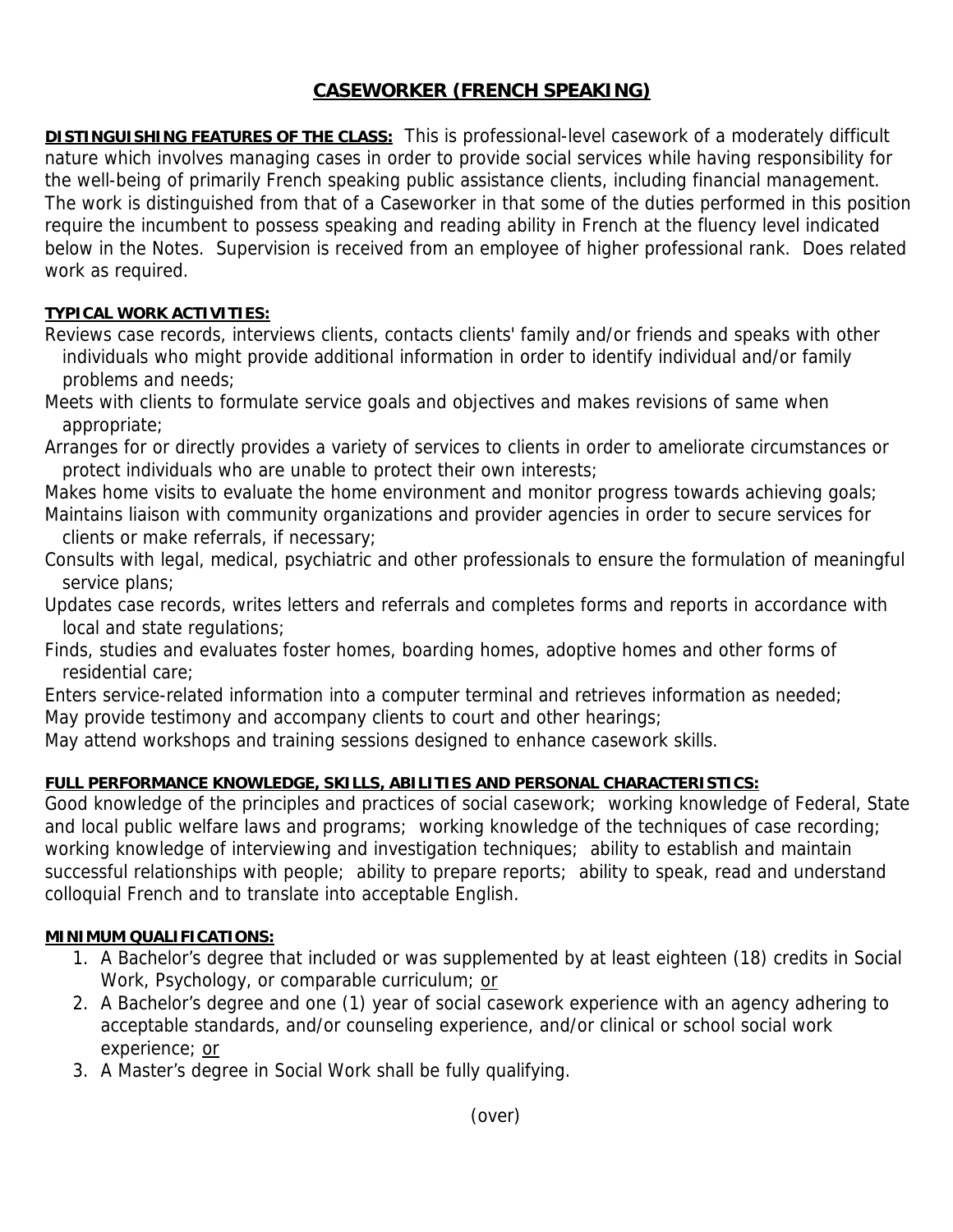# **CASEWORKER (FRENCH SPEAKING)**

**DISTINGUISHING FEATURES OF THE CLASS:** This is professional-level casework of a moderately difficult nature which involves managing cases in order to provide social services while having responsibility for the well-being of primarily French speaking public assistance clients, including financial management. The work is distinguished from that of a Caseworker in that some of the duties performed in this position require the incumbent to possess speaking and reading ability in French at the fluency level indicated below in the Notes. Supervision is received from an employee of higher professional rank. Does related work as required.

## **TYPICAL WORK ACTIVITIES:**

Reviews case records, interviews clients, contacts clients' family and/or friends and speaks with other individuals who might provide additional information in order to identify individual and/or family problems and needs;

Meets with clients to formulate service goals and objectives and makes revisions of same when appropriate;

Arranges for or directly provides a variety of services to clients in order to ameliorate circumstances or protect individuals who are unable to protect their own interests;

Makes home visits to evaluate the home environment and monitor progress towards achieving goals; Maintains liaison with community organizations and provider agencies in order to secure services for clients or make referrals, if necessary;

Consults with legal, medical, psychiatric and other professionals to ensure the formulation of meaningful service plans;

Updates case records, writes letters and referrals and completes forms and reports in accordance with local and state regulations;

Finds, studies and evaluates foster homes, boarding homes, adoptive homes and other forms of residential care;

Enters service-related information into a computer terminal and retrieves information as needed; May provide testimony and accompany clients to court and other hearings;

May attend workshops and training sessions designed to enhance casework skills.

## **FULL PERFORMANCE KNOWLEDGE, SKILLS, ABILITIES AND PERSONAL CHARACTERISTICS:**

Good knowledge of the principles and practices of social casework; working knowledge of Federal, State and local public welfare laws and programs; working knowledge of the techniques of case recording; working knowledge of interviewing and investigation techniques; ability to establish and maintain successful relationships with people; ability to prepare reports; ability to speak, read and understand colloquial French and to translate into acceptable English.

#### **MINIMUM QUALIFICATIONS:**

- 1. A Bachelor's degree that included or was supplemented by at least eighteen (18) credits in Social Work, Psychology, or comparable curriculum; or
- 2. A Bachelor's degree and one (1) year of social casework experience with an agency adhering to acceptable standards, and/or counseling experience, and/or clinical or school social work experience; or
- 3. A Master's degree in Social Work shall be fully qualifying.